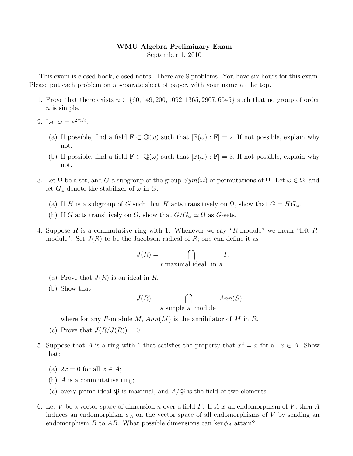## WMU Algebra Preliminary Exam September 1, 2010

This exam is closed book, closed notes. There are 8 problems. You have six hours for this exam. Please put each problem on a separate sheet of paper, with your name at the top.

- 1. Prove that there exists  $n \in \{60, 149, 200, 1092, 1365, 2907, 6545\}$  such that no group of order  $n$  is simple.
- 2. Let  $\omega = e^{2\pi i/5}$ .
	- (a) If possible, find a field  $\mathbb{F} \subset \mathbb{Q}(\omega)$  such that  $[\mathbb{F}(\omega) : \mathbb{F}] = 2$ . If not possible, explain why not.
	- (b) If possible, find a field  $\mathbb{F} \subset \mathbb{Q}(\omega)$  such that  $[\mathbb{F}(\omega) : \mathbb{F}] = 3$ . If not possible, explain why not.
- 3. Let  $\Omega$  be a set, and G a subgroup of the group  $Sym(\Omega)$  of permutations of  $\Omega$ . Let  $\omega \in \Omega$ , and let  $G_{\omega}$  denote the stabilizer of  $\omega$  in  $G$ .
	- (a) If H is a subgroup of G such that H acts transitively on  $\Omega$ , show that  $G = HG_{\omega}$ .
	- (b) If G acts transitively on  $\Omega$ , show that  $G/G_{\omega} \simeq \Omega$  as G-sets.
- 4. Suppose R is a commutative ring with 1. Whenever we say "R-module" we mean "left Rmodule". Set  $J(R)$  to be the Jacobson radical of R; one can define it as

$$
J(R) = \bigcap_{I \text{ maximal ideal in } R} I.
$$

- (a) Prove that  $J(R)$  is an ideal in R.
- (b) Show that

$$
J(R) = \bigcap_{S \text{ simple } R-\text{module}} Ann(S),
$$

where for any R-module M,  $Ann(M)$  is the annihilator of M in R.

- (c) Prove that  $J(R/J(R)) = 0$ .
- 5. Suppose that A is a ring with 1 that satisfies the property that  $x^2 = x$  for all  $x \in A$ . Show that:
	- (a)  $2x = 0$  for all  $x \in A$ ;
	- (b)  $\overline{A}$  is a commutative ring;
	- (c) every prime ideal  $\mathfrak P$  is maximal, and  $A/\mathfrak P$  is the field of two elements.
- 6. Let V be a vector space of dimension n over a field F. If A is an endomorphism of V, then A induces an endomorphism  $\phi_A$  on the vector space of all endomorphisms of V by sending an endomorphism B to AB. What possible dimensions can ker  $\phi_A$  attain?